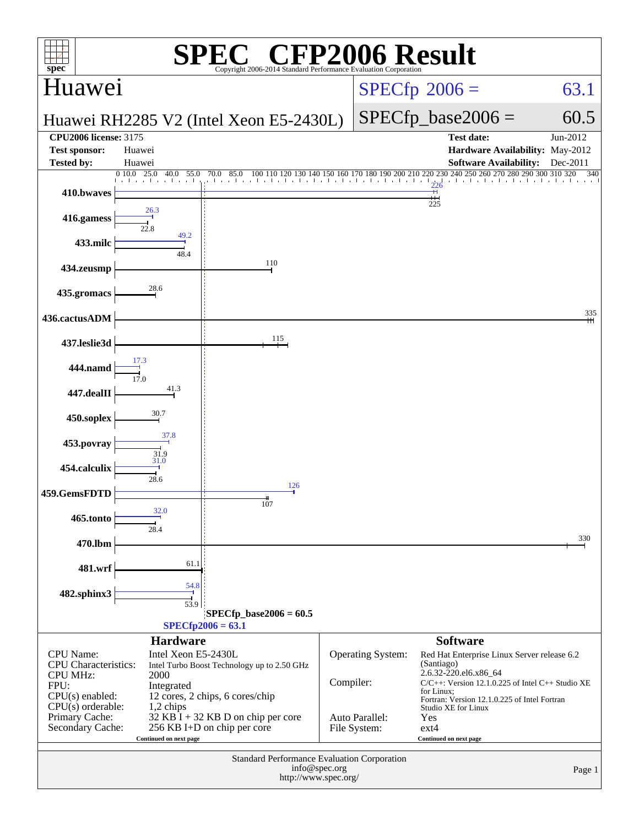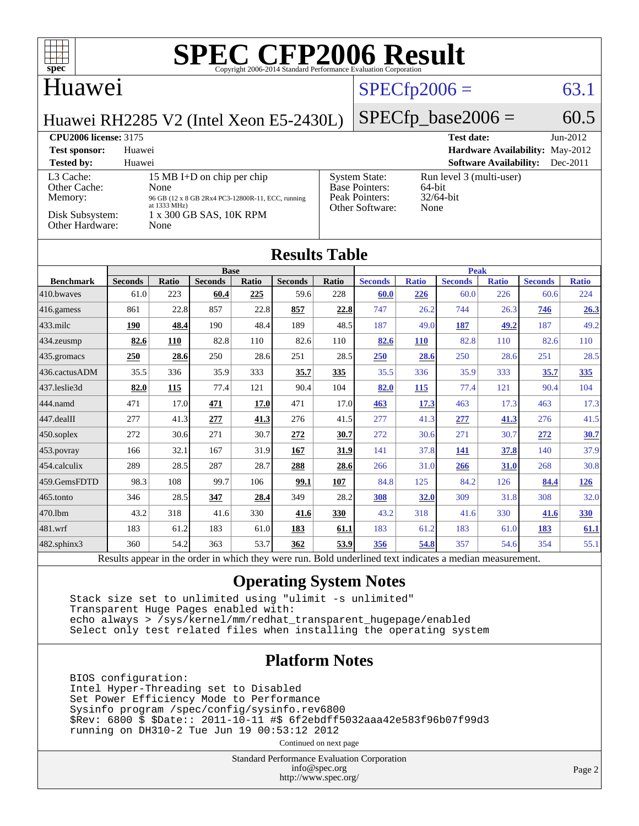

#### Huawei

### $SPECTp2006 = 63.1$

Huawei RH2285 V2 (Intel Xeon E5-2430L)

#### $SPECfp\_base2006 = 60.5$

#### **[CPU2006 license:](http://www.spec.org/auto/cpu2006/Docs/result-fields.html#CPU2006license)** 3175 **[Test date:](http://www.spec.org/auto/cpu2006/Docs/result-fields.html#Testdate)** Jun-2012 **[Test sponsor:](http://www.spec.org/auto/cpu2006/Docs/result-fields.html#Testsponsor)** Huawei **[Hardware Availability:](http://www.spec.org/auto/cpu2006/Docs/result-fields.html#HardwareAvailability)** May-2012 **[Tested by:](http://www.spec.org/auto/cpu2006/Docs/result-fields.html#Testedby)** Huawei **[Software Availability:](http://www.spec.org/auto/cpu2006/Docs/result-fields.html#SoftwareAvailability)** Dec-2011 [L3 Cache:](http://www.spec.org/auto/cpu2006/Docs/result-fields.html#L3Cache) 15 MB I+D on chip per chip<br>Other Cache: None [Other Cache:](http://www.spec.org/auto/cpu2006/Docs/result-fields.html#OtherCache) [Memory:](http://www.spec.org/auto/cpu2006/Docs/result-fields.html#Memory) 96 GB (12 x 8 GB 2Rx4 PC3-12800R-11, ECC, running at 1333 MHz) [Disk Subsystem:](http://www.spec.org/auto/cpu2006/Docs/result-fields.html#DiskSubsystem) 1 x 300 GB SAS, 10K RPM<br>Other Hardware: None [Other Hardware:](http://www.spec.org/auto/cpu2006/Docs/result-fields.html#OtherHardware) [System State:](http://www.spec.org/auto/cpu2006/Docs/result-fields.html#SystemState) Run level 3 (multi-user)<br>Base Pointers: 64-bit [Base Pointers:](http://www.spec.org/auto/cpu2006/Docs/result-fields.html#BasePointers) 64-bit<br>Peak Pointers: 32/64-bit [Peak Pointers:](http://www.spec.org/auto/cpu2006/Docs/result-fields.html#PeakPointers) [Other Software:](http://www.spec.org/auto/cpu2006/Docs/result-fields.html#OtherSoftware) None

#### **[Results Table](http://www.spec.org/auto/cpu2006/Docs/result-fields.html#ResultsTable)**

|                      | <b>Base</b>    |              |                |          |                | <b>Peak</b>  |                      |                 |                |              |                |              |
|----------------------|----------------|--------------|----------------|----------|----------------|--------------|----------------------|-----------------|----------------|--------------|----------------|--------------|
| <b>Benchmark</b>     | <b>Seconds</b> | <b>Ratio</b> | <b>Seconds</b> | Ratio    | <b>Seconds</b> | <b>Ratio</b> | <b>Seconds</b>       | <b>Ratio</b>    | <b>Seconds</b> | <b>Ratio</b> | <b>Seconds</b> | <b>Ratio</b> |
| 410.bwayes           | 61.0           | 223          | 60.4           | 225      | 59.6           | 228          | 60.0                 | 226             | 60.0           | 226          | 60.6           | 224          |
| 416.gamess           | 861            | 22.8         | 857            | 22.8     | 857            | 22.8         | 747                  | 26.2            | 744            | 26.3         | 746            | 26.3         |
| $ 433 \text{.}$ milc | 190            | 48.4         | 190            | 48.4     | 189            | 48.5         | 187                  | 49.0            | <u>187</u>     | <u>49.2</u>  | 187            | 49.2         |
| $ 434$ . zeusmp      | 82.6           | 110          | 82.8           | 110      | 82.6           | 110          | 82.6                 | <b>110</b>      | 82.8           | 110          | 82.6           | 110          |
| 435.gromacs          | 250            | 28.6         | 250            | 28.6     | 251            | 28.5         | 250                  | 28.6            | 250            | 28.6         | 251            | 28.5         |
| 436.cactusADM        | 35.5           | 336          | 35.9           | 333      | 35.7           | 335          | 35.5                 | 336             | 35.9           | 333          | 35.7           | 335          |
| 437.leslie3d         | 82.0           | 115          | 77.4           | 121      | 90.4           | 104          | 82.0                 | <b>115</b>      | 77.4           | 121          | 90.4           | 104          |
| 444.namd             | 471            | 17.0         | 471            | 17.0     | 471            | 17.0         | 463                  | 17.3            | 463            | 17.3         | 463            | 17.3         |
| $447$ .dealII        | 277            | 41.3         | 277            | 41.3     | 276            | 41.5         | 277                  | 41.3            | 277            | 41.3         | 276            | 41.5         |
| $ 450$ .soplex       | 272            | 30.6         | 271            | 30.7     | 272            | 30.7         | 272                  | 30.6            | 271            | 30.7         | 272            | 30.7         |
| $453$ .povray        | 166            | 32.1         | 167            | 31.9     | 167            | 31.9         | 141                  | 37.8            | 141            | 37.8         | 140            | 37.9         |
| 454.calculix         | 289            | 28.5         | 287            | 28.7     | 288            | 28.6         | 266                  | 31.0            | 266            | 31.0         | 268            | 30.8         |
| 459.GemsFDTD         | 98.3           | 108          | 99.7           | 106      | 99.1           | 107          | 84.8                 | 125             | 84.2           | 126          | 84.4           | 126          |
| $465$ .tonto         | 346            | 28.5         | 347            | 28.4     | 349            | 28.2         | 308                  | <b>32.0</b>     | 309            | 31.8         | 308            | 32.0         |
| 470.lbm              | 43.2           | 318          | 41.6           | 330      | 41.6           | 330          | 43.2                 | 318             | 41.6           | 330          | 41.6           | 330          |
| 481.wrf              | 183            | 61.2         | 183            | 61.0     | 183            | 61.1         | 183                  | 61.2            | 183            | 61.0         | <b>183</b>     | 61.1         |
| 482.sphinx3          | 360            | 54.2         | 363            | 53.7     | 362            | 53.9         | 356                  | 54.8            | 357            | 54.6         | 354            | 55.1         |
| D.                   |                |              | $\sim$ $\sim$  | $\cdots$ |                | $T = 11$     | 1.11<br>$\mathbf{1}$ | $\cdot$ $\cdot$ | $\cdot$        |              |                |              |

Results appear in the [order in which they were run.](http://www.spec.org/auto/cpu2006/Docs/result-fields.html#RunOrder) Bold underlined text [indicates a median measurement.](http://www.spec.org/auto/cpu2006/Docs/result-fields.html#Median)

#### **[Operating System Notes](http://www.spec.org/auto/cpu2006/Docs/result-fields.html#OperatingSystemNotes)**

 Stack size set to unlimited using "ulimit -s unlimited" Transparent Huge Pages enabled with: echo always > /sys/kernel/mm/redhat\_transparent\_hugepage/enabled Select only test related files when installing the operating system

#### **[Platform Notes](http://www.spec.org/auto/cpu2006/Docs/result-fields.html#PlatformNotes)**

 BIOS configuration: Intel Hyper-Threading set to Disabled Set Power Efficiency Mode to Performance Sysinfo program /spec/config/sysinfo.rev6800 \$Rev: 6800 \$ \$Date:: 2011-10-11 #\$ 6f2ebdff5032aaa42e583f96b07f99d3 running on DH310-2 Tue Jun 19 00:53:12 2012

Continued on next page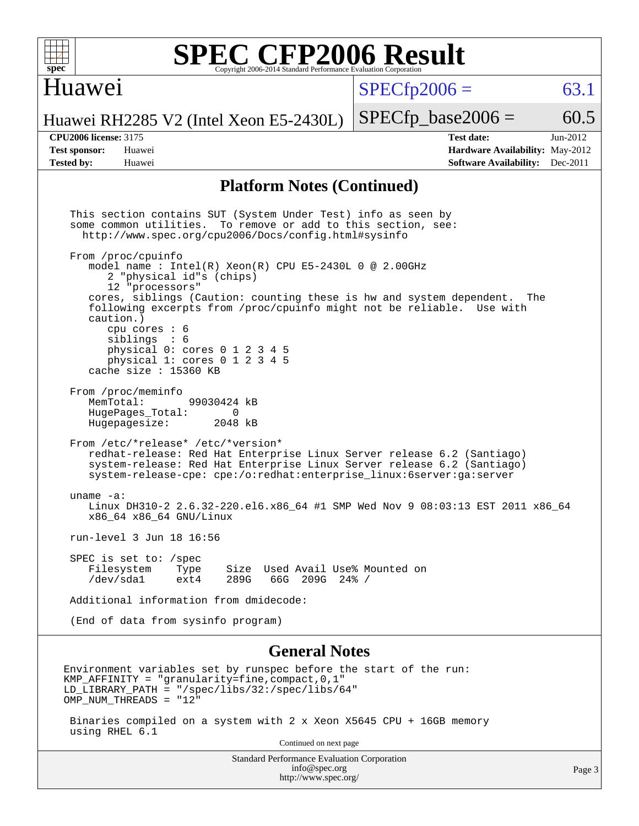#### Huawei

 $SPECTp2006 = 63.1$ 

Huawei RH2285 V2 (Intel Xeon E5-2430L)

using RHEL 6.1

**[Tested by:](http://www.spec.org/auto/cpu2006/Docs/result-fields.html#Testedby)** Huawei **[Software Availability:](http://www.spec.org/auto/cpu2006/Docs/result-fields.html#SoftwareAvailability)** Dec-2011

**[CPU2006 license:](http://www.spec.org/auto/cpu2006/Docs/result-fields.html#CPU2006license)** 3175 **[Test date:](http://www.spec.org/auto/cpu2006/Docs/result-fields.html#Testdate)** Jun-2012 **[Test sponsor:](http://www.spec.org/auto/cpu2006/Docs/result-fields.html#Testsponsor)** Huawei **[Hardware Availability:](http://www.spec.org/auto/cpu2006/Docs/result-fields.html#HardwareAvailability)** May-2012

 $SPECTp\_base2006 = 60.5$ 

#### **[Platform Notes \(Continued\)](http://www.spec.org/auto/cpu2006/Docs/result-fields.html#PlatformNotes)**

 This section contains SUT (System Under Test) info as seen by some common utilities. To remove or add to this section, see: <http://www.spec.org/cpu2006/Docs/config.html#sysinfo> From /proc/cpuinfo model name : Intel $(R)$  Xeon $(R)$  CPU E5-2430L 0 @ 2.00GHz 2 "physical id"s (chips) 12 "processors" cores, siblings (Caution: counting these is hw and system dependent. The following excerpts from /proc/cpuinfo might not be reliable. Use with caution.) cpu cores : 6 siblings : 6 physical 0: cores 0 1 2 3 4 5 physical 1: cores 0 1 2 3 4 5 cache size : 15360 KB From /proc/meminfo<br>MemTotal: 99030424 kB HugePages\_Total: 0<br>Hugepagesize: 2048 kB Hugepagesize: From /etc/\*release\* /etc/\*version\* redhat-release: Red Hat Enterprise Linux Server release 6.2 (Santiago) system-release: Red Hat Enterprise Linux Server release 6.2 (Santiago) system-release-cpe: cpe:/o:redhat:enterprise\_linux:6server:ga:server uname -a: Linux DH310-2 2.6.32-220.el6.x86\_64 #1 SMP Wed Nov 9 08:03:13 EST 2011 x86\_64 x86\_64 x86\_64 GNU/Linux run-level 3 Jun 18 16:56 SPEC is set to: /spec Filesystem Type Size Used Avail Use% Mounted on<br>/dev/sdal ext4 289G 66G 209G 24% / /dev/sda1 ext4 289G 66G 209G 24% / Additional information from dmidecode: (End of data from sysinfo program) **[General Notes](http://www.spec.org/auto/cpu2006/Docs/result-fields.html#GeneralNotes)** Environment variables set by runspec before the start of the run: KMP AFFINITY = "granularity=fine, compact,  $0,1$ " LD\_LIBRARY\_PATH = "/spec/libs/32:/spec/libs/64" OMP\_NUM\_THREADS = "12" Binaries compiled on a system with 2 x Xeon X5645 CPU + 16GB memory

Continued on next page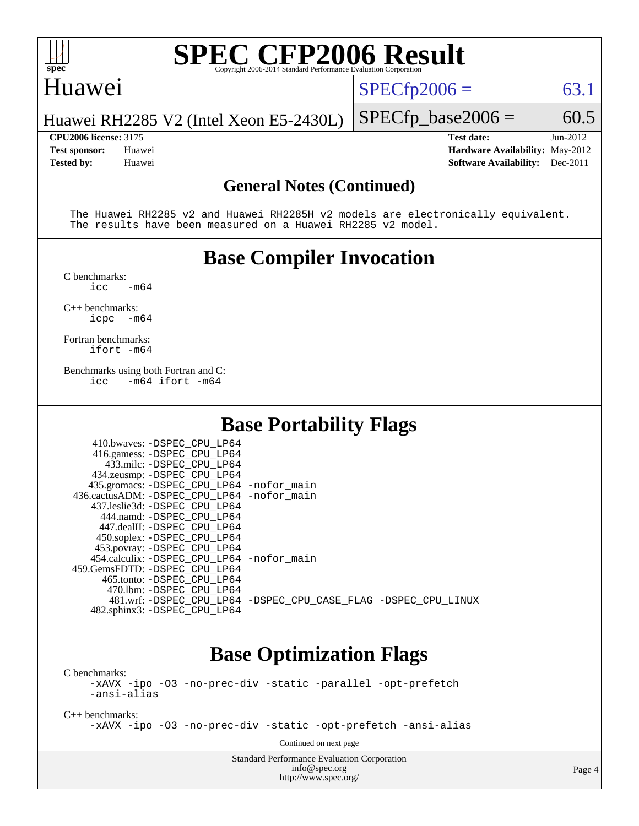

#### Huawei

 $SPECTp2006 = 63.1$ 

Huawei RH2285 V2 (Intel Xeon E5-2430L)

**[CPU2006 license:](http://www.spec.org/auto/cpu2006/Docs/result-fields.html#CPU2006license)** 3175 **[Test date:](http://www.spec.org/auto/cpu2006/Docs/result-fields.html#Testdate)** Jun-2012 **[Test sponsor:](http://www.spec.org/auto/cpu2006/Docs/result-fields.html#Testsponsor)** Huawei **[Hardware Availability:](http://www.spec.org/auto/cpu2006/Docs/result-fields.html#HardwareAvailability)** May-2012 **[Tested by:](http://www.spec.org/auto/cpu2006/Docs/result-fields.html#Testedby)** Huawei **[Software Availability:](http://www.spec.org/auto/cpu2006/Docs/result-fields.html#SoftwareAvailability)** Dec-2011

 $SPECTp\_base2006 = 60.5$ 

#### **[General Notes \(Continued\)](http://www.spec.org/auto/cpu2006/Docs/result-fields.html#GeneralNotes)**

 The Huawei RH2285 v2 and Huawei RH2285H v2 models are electronically equivalent. The results have been measured on a Huawei RH2285 v2 model.

### **[Base Compiler Invocation](http://www.spec.org/auto/cpu2006/Docs/result-fields.html#BaseCompilerInvocation)**

[C benchmarks](http://www.spec.org/auto/cpu2006/Docs/result-fields.html#Cbenchmarks):  $\text{icc}$   $-\text{m64}$ 

[C++ benchmarks:](http://www.spec.org/auto/cpu2006/Docs/result-fields.html#CXXbenchmarks) [icpc -m64](http://www.spec.org/cpu2006/results/res2012q3/cpu2006-20120628-23237.flags.html#user_CXXbase_intel_icpc_64bit_bedb90c1146cab66620883ef4f41a67e)

[Fortran benchmarks](http://www.spec.org/auto/cpu2006/Docs/result-fields.html#Fortranbenchmarks): [ifort -m64](http://www.spec.org/cpu2006/results/res2012q3/cpu2006-20120628-23237.flags.html#user_FCbase_intel_ifort_64bit_ee9d0fb25645d0210d97eb0527dcc06e)

[Benchmarks using both Fortran and C](http://www.spec.org/auto/cpu2006/Docs/result-fields.html#BenchmarksusingbothFortranandC): [icc -m64](http://www.spec.org/cpu2006/results/res2012q3/cpu2006-20120628-23237.flags.html#user_CC_FCbase_intel_icc_64bit_0b7121f5ab7cfabee23d88897260401c) [ifort -m64](http://www.spec.org/cpu2006/results/res2012q3/cpu2006-20120628-23237.flags.html#user_CC_FCbase_intel_ifort_64bit_ee9d0fb25645d0210d97eb0527dcc06e)

### **[Base Portability Flags](http://www.spec.org/auto/cpu2006/Docs/result-fields.html#BasePortabilityFlags)**

| 410.bwaves: -DSPEC CPU LP64                  |                                                                |
|----------------------------------------------|----------------------------------------------------------------|
| 416.gamess: -DSPEC_CPU_LP64                  |                                                                |
| 433.milc: -DSPEC CPU LP64                    |                                                                |
| 434.zeusmp: -DSPEC_CPU_LP64                  |                                                                |
| 435.gromacs: -DSPEC_CPU_LP64 -nofor_main     |                                                                |
| 436.cactusADM: - DSPEC CPU LP64 - nofor main |                                                                |
| 437.leslie3d: -DSPEC CPU LP64                |                                                                |
| 444.namd: -DSPEC CPU LP64                    |                                                                |
| 447.dealII: -DSPEC CPU LP64                  |                                                                |
| 450.soplex: -DSPEC_CPU_LP64                  |                                                                |
| 453.povray: -DSPEC_CPU_LP64                  |                                                                |
| 454.calculix: - DSPEC CPU LP64 - nofor main  |                                                                |
| 459. GemsFDTD: - DSPEC CPU LP64              |                                                                |
| 465.tonto: - DSPEC CPU LP64                  |                                                                |
| 470.1bm: - DSPEC CPU LP64                    |                                                                |
|                                              | 481.wrf: -DSPEC CPU LP64 -DSPEC CPU CASE FLAG -DSPEC CPU LINUX |
| 482.sphinx3: -DSPEC_CPU_LP64                 |                                                                |

### **[Base Optimization Flags](http://www.spec.org/auto/cpu2006/Docs/result-fields.html#BaseOptimizationFlags)**

[C benchmarks](http://www.spec.org/auto/cpu2006/Docs/result-fields.html#Cbenchmarks):

[-xAVX](http://www.spec.org/cpu2006/results/res2012q3/cpu2006-20120628-23237.flags.html#user_CCbase_f-xAVX) [-ipo](http://www.spec.org/cpu2006/results/res2012q3/cpu2006-20120628-23237.flags.html#user_CCbase_f-ipo) [-O3](http://www.spec.org/cpu2006/results/res2012q3/cpu2006-20120628-23237.flags.html#user_CCbase_f-O3) [-no-prec-div](http://www.spec.org/cpu2006/results/res2012q3/cpu2006-20120628-23237.flags.html#user_CCbase_f-no-prec-div) [-static](http://www.spec.org/cpu2006/results/res2012q3/cpu2006-20120628-23237.flags.html#user_CCbase_f-static) [-parallel](http://www.spec.org/cpu2006/results/res2012q3/cpu2006-20120628-23237.flags.html#user_CCbase_f-parallel) [-opt-prefetch](http://www.spec.org/cpu2006/results/res2012q3/cpu2006-20120628-23237.flags.html#user_CCbase_f-opt-prefetch) [-ansi-alias](http://www.spec.org/cpu2006/results/res2012q3/cpu2006-20120628-23237.flags.html#user_CCbase_f-ansi-alias)

[C++ benchmarks:](http://www.spec.org/auto/cpu2006/Docs/result-fields.html#CXXbenchmarks)

[-xAVX](http://www.spec.org/cpu2006/results/res2012q3/cpu2006-20120628-23237.flags.html#user_CXXbase_f-xAVX) [-ipo](http://www.spec.org/cpu2006/results/res2012q3/cpu2006-20120628-23237.flags.html#user_CXXbase_f-ipo) [-O3](http://www.spec.org/cpu2006/results/res2012q3/cpu2006-20120628-23237.flags.html#user_CXXbase_f-O3) [-no-prec-div](http://www.spec.org/cpu2006/results/res2012q3/cpu2006-20120628-23237.flags.html#user_CXXbase_f-no-prec-div) [-static](http://www.spec.org/cpu2006/results/res2012q3/cpu2006-20120628-23237.flags.html#user_CXXbase_f-static) [-opt-prefetch](http://www.spec.org/cpu2006/results/res2012q3/cpu2006-20120628-23237.flags.html#user_CXXbase_f-opt-prefetch) [-ansi-alias](http://www.spec.org/cpu2006/results/res2012q3/cpu2006-20120628-23237.flags.html#user_CXXbase_f-ansi-alias)

Continued on next page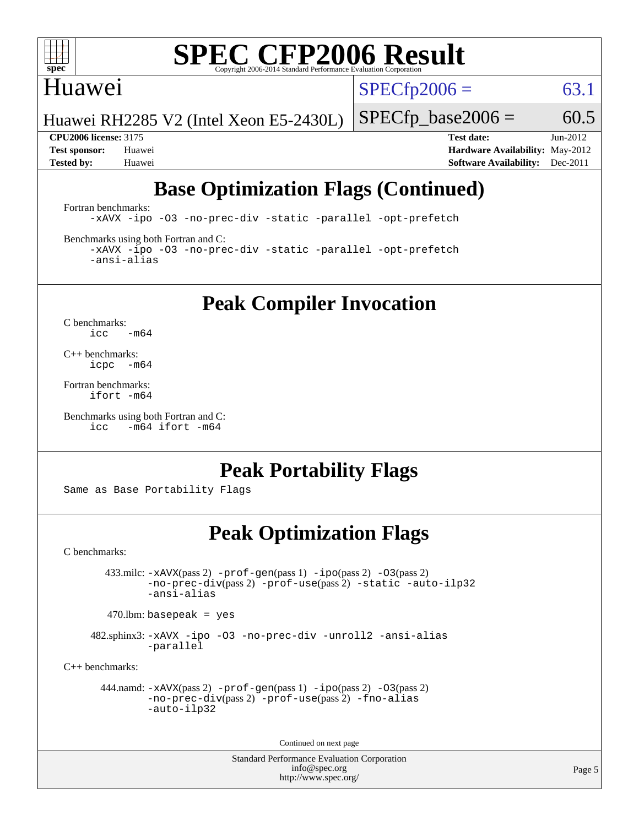

#### Huawei

 $SPECTp2006 = 63.1$ 

Huawei RH2285 V2 (Intel Xeon E5-2430L)

 $SPECfp\_base2006 = 60.5$ 

**[CPU2006 license:](http://www.spec.org/auto/cpu2006/Docs/result-fields.html#CPU2006license)** 3175 **[Test date:](http://www.spec.org/auto/cpu2006/Docs/result-fields.html#Testdate)** Jun-2012 **[Test sponsor:](http://www.spec.org/auto/cpu2006/Docs/result-fields.html#Testsponsor)** Huawei **[Hardware Availability:](http://www.spec.org/auto/cpu2006/Docs/result-fields.html#HardwareAvailability)** May-2012 **[Tested by:](http://www.spec.org/auto/cpu2006/Docs/result-fields.html#Testedby)** Huawei **[Software Availability:](http://www.spec.org/auto/cpu2006/Docs/result-fields.html#SoftwareAvailability)** Dec-2011

### **[Base Optimization Flags \(Continued\)](http://www.spec.org/auto/cpu2006/Docs/result-fields.html#BaseOptimizationFlags)**

[Fortran benchmarks](http://www.spec.org/auto/cpu2006/Docs/result-fields.html#Fortranbenchmarks):

[-xAVX](http://www.spec.org/cpu2006/results/res2012q3/cpu2006-20120628-23237.flags.html#user_FCbase_f-xAVX) [-ipo](http://www.spec.org/cpu2006/results/res2012q3/cpu2006-20120628-23237.flags.html#user_FCbase_f-ipo) [-O3](http://www.spec.org/cpu2006/results/res2012q3/cpu2006-20120628-23237.flags.html#user_FCbase_f-O3) [-no-prec-div](http://www.spec.org/cpu2006/results/res2012q3/cpu2006-20120628-23237.flags.html#user_FCbase_f-no-prec-div) [-static](http://www.spec.org/cpu2006/results/res2012q3/cpu2006-20120628-23237.flags.html#user_FCbase_f-static) [-parallel](http://www.spec.org/cpu2006/results/res2012q3/cpu2006-20120628-23237.flags.html#user_FCbase_f-parallel) [-opt-prefetch](http://www.spec.org/cpu2006/results/res2012q3/cpu2006-20120628-23237.flags.html#user_FCbase_f-opt-prefetch)

[Benchmarks using both Fortran and C](http://www.spec.org/auto/cpu2006/Docs/result-fields.html#BenchmarksusingbothFortranandC):

[-xAVX](http://www.spec.org/cpu2006/results/res2012q3/cpu2006-20120628-23237.flags.html#user_CC_FCbase_f-xAVX) [-ipo](http://www.spec.org/cpu2006/results/res2012q3/cpu2006-20120628-23237.flags.html#user_CC_FCbase_f-ipo) [-O3](http://www.spec.org/cpu2006/results/res2012q3/cpu2006-20120628-23237.flags.html#user_CC_FCbase_f-O3) [-no-prec-div](http://www.spec.org/cpu2006/results/res2012q3/cpu2006-20120628-23237.flags.html#user_CC_FCbase_f-no-prec-div) [-static](http://www.spec.org/cpu2006/results/res2012q3/cpu2006-20120628-23237.flags.html#user_CC_FCbase_f-static) [-parallel](http://www.spec.org/cpu2006/results/res2012q3/cpu2006-20120628-23237.flags.html#user_CC_FCbase_f-parallel) [-opt-prefetch](http://www.spec.org/cpu2006/results/res2012q3/cpu2006-20120628-23237.flags.html#user_CC_FCbase_f-opt-prefetch) [-ansi-alias](http://www.spec.org/cpu2006/results/res2012q3/cpu2006-20120628-23237.flags.html#user_CC_FCbase_f-ansi-alias)

**[Peak Compiler Invocation](http://www.spec.org/auto/cpu2006/Docs/result-fields.html#PeakCompilerInvocation)**

[C benchmarks](http://www.spec.org/auto/cpu2006/Docs/result-fields.html#Cbenchmarks):  $\text{icc}$  -m64

[C++ benchmarks:](http://www.spec.org/auto/cpu2006/Docs/result-fields.html#CXXbenchmarks) [icpc -m64](http://www.spec.org/cpu2006/results/res2012q3/cpu2006-20120628-23237.flags.html#user_CXXpeak_intel_icpc_64bit_bedb90c1146cab66620883ef4f41a67e)

[Fortran benchmarks](http://www.spec.org/auto/cpu2006/Docs/result-fields.html#Fortranbenchmarks): [ifort -m64](http://www.spec.org/cpu2006/results/res2012q3/cpu2006-20120628-23237.flags.html#user_FCpeak_intel_ifort_64bit_ee9d0fb25645d0210d97eb0527dcc06e)

[Benchmarks using both Fortran and C](http://www.spec.org/auto/cpu2006/Docs/result-fields.html#BenchmarksusingbothFortranandC): [icc -m64](http://www.spec.org/cpu2006/results/res2012q3/cpu2006-20120628-23237.flags.html#user_CC_FCpeak_intel_icc_64bit_0b7121f5ab7cfabee23d88897260401c) [ifort -m64](http://www.spec.org/cpu2006/results/res2012q3/cpu2006-20120628-23237.flags.html#user_CC_FCpeak_intel_ifort_64bit_ee9d0fb25645d0210d97eb0527dcc06e)

### **[Peak Portability Flags](http://www.spec.org/auto/cpu2006/Docs/result-fields.html#PeakPortabilityFlags)**

Same as Base Portability Flags

### **[Peak Optimization Flags](http://www.spec.org/auto/cpu2006/Docs/result-fields.html#PeakOptimizationFlags)**

[C benchmarks](http://www.spec.org/auto/cpu2006/Docs/result-fields.html#Cbenchmarks):

 433.milc: [-xAVX](http://www.spec.org/cpu2006/results/res2012q3/cpu2006-20120628-23237.flags.html#user_peakPASS2_CFLAGSPASS2_LDFLAGS433_milc_f-xAVX)(pass 2) [-prof-gen](http://www.spec.org/cpu2006/results/res2012q3/cpu2006-20120628-23237.flags.html#user_peakPASS1_CFLAGSPASS1_LDFLAGS433_milc_prof_gen_e43856698f6ca7b7e442dfd80e94a8fc)(pass 1) [-ipo](http://www.spec.org/cpu2006/results/res2012q3/cpu2006-20120628-23237.flags.html#user_peakPASS2_CFLAGSPASS2_LDFLAGS433_milc_f-ipo)(pass 2) [-O3](http://www.spec.org/cpu2006/results/res2012q3/cpu2006-20120628-23237.flags.html#user_peakPASS2_CFLAGSPASS2_LDFLAGS433_milc_f-O3)(pass 2) [-no-prec-div](http://www.spec.org/cpu2006/results/res2012q3/cpu2006-20120628-23237.flags.html#user_peakPASS2_CFLAGSPASS2_LDFLAGS433_milc_f-no-prec-div)(pass 2) [-prof-use](http://www.spec.org/cpu2006/results/res2012q3/cpu2006-20120628-23237.flags.html#user_peakPASS2_CFLAGSPASS2_LDFLAGS433_milc_prof_use_bccf7792157ff70d64e32fe3e1250b55)(pass 2) [-static](http://www.spec.org/cpu2006/results/res2012q3/cpu2006-20120628-23237.flags.html#user_peakOPTIMIZE433_milc_f-static) [-auto-ilp32](http://www.spec.org/cpu2006/results/res2012q3/cpu2006-20120628-23237.flags.html#user_peakCOPTIMIZE433_milc_f-auto-ilp32) [-ansi-alias](http://www.spec.org/cpu2006/results/res2012q3/cpu2006-20120628-23237.flags.html#user_peakCOPTIMIZE433_milc_f-ansi-alias)

 $470.$ lbm: basepeak = yes

 482.sphinx3: [-xAVX](http://www.spec.org/cpu2006/results/res2012q3/cpu2006-20120628-23237.flags.html#user_peakOPTIMIZE482_sphinx3_f-xAVX) [-ipo](http://www.spec.org/cpu2006/results/res2012q3/cpu2006-20120628-23237.flags.html#user_peakOPTIMIZE482_sphinx3_f-ipo) [-O3](http://www.spec.org/cpu2006/results/res2012q3/cpu2006-20120628-23237.flags.html#user_peakOPTIMIZE482_sphinx3_f-O3) [-no-prec-div](http://www.spec.org/cpu2006/results/res2012q3/cpu2006-20120628-23237.flags.html#user_peakOPTIMIZE482_sphinx3_f-no-prec-div) [-unroll2](http://www.spec.org/cpu2006/results/res2012q3/cpu2006-20120628-23237.flags.html#user_peakCOPTIMIZE482_sphinx3_f-unroll_784dae83bebfb236979b41d2422d7ec2) [-ansi-alias](http://www.spec.org/cpu2006/results/res2012q3/cpu2006-20120628-23237.flags.html#user_peakCOPTIMIZE482_sphinx3_f-ansi-alias) [-parallel](http://www.spec.org/cpu2006/results/res2012q3/cpu2006-20120628-23237.flags.html#user_peakCOPTIMIZE482_sphinx3_f-parallel)

[C++ benchmarks:](http://www.spec.org/auto/cpu2006/Docs/result-fields.html#CXXbenchmarks)

```
 444.namd: -xAVX(pass 2) -prof-gen(pass 1) -ipo(pass 2) -O3(pass 2)
         -no-prec-div(pass 2) -prof-use(pass 2) -fno-alias
         -auto-ilp32
```
Continued on next page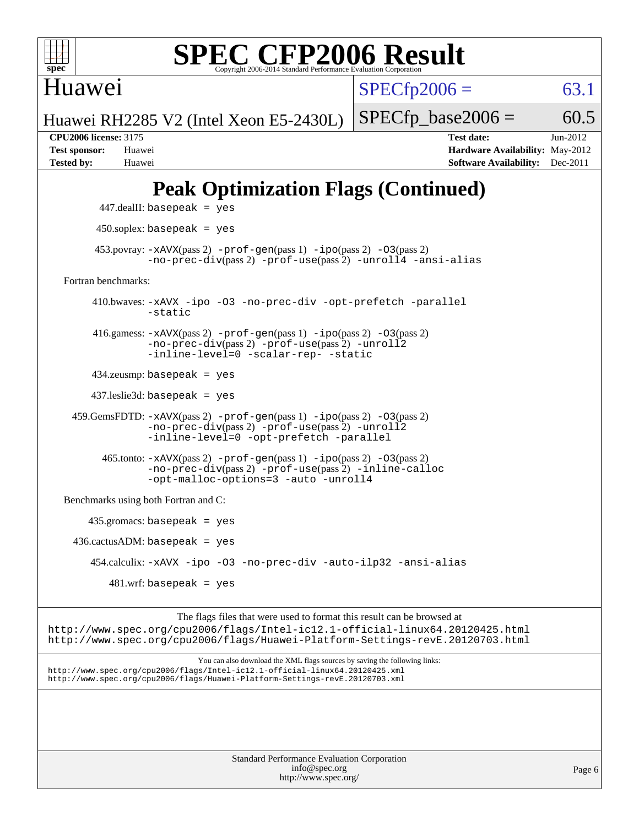

Huawei

 $SPECfp2006 = 63.1$  $SPECfp2006 = 63.1$ 

Huawei RH2285 V2 (Intel Xeon E5-2430L)

 $SPECTp\_base2006 = 60.5$ **[CPU2006 license:](http://www.spec.org/auto/cpu2006/Docs/result-fields.html#CPU2006license)** 3175 **[Test date:](http://www.spec.org/auto/cpu2006/Docs/result-fields.html#Testdate)** Jun-2012 **[Test sponsor:](http://www.spec.org/auto/cpu2006/Docs/result-fields.html#Testsponsor)** Huawei **[Hardware Availability:](http://www.spec.org/auto/cpu2006/Docs/result-fields.html#HardwareAvailability)** May-2012 **[Tested by:](http://www.spec.org/auto/cpu2006/Docs/result-fields.html#Testedby)** Huawei **[Software Availability:](http://www.spec.org/auto/cpu2006/Docs/result-fields.html#SoftwareAvailability)** Dec-2011

### **[Peak Optimization Flags \(Continued\)](http://www.spec.org/auto/cpu2006/Docs/result-fields.html#PeakOptimizationFlags)**

```
 447.dealII: basepeak = yes
          450.soplex: basepeak = yes
        453.povray: -xAVX(pass 2) -prof-gen(pass 1) -ipo(pass 2) -03(pass 2)
                  -no-prec-div(pass 2) -prof-use(pass 2) -unroll4 -ansi-alias
   Fortran benchmarks: 
         410.bwaves: -xAVX -ipo -O3 -no-prec-div -opt-prefetch -parallel
                  -static
         416.gamess: -xAVX(pass 2) -prof-gen(pass 1) -ipo(pass 2) -O3(pass 2)
                  -no-prec-div(pass 2) -prof-use(pass 2) -unroll2
                  -inline-level=0 -scalar-rep- -static
         434.zeusmp: basepeak = yes
         437.leslie3d: basepeak = yes
     459.GemsFDTD: -xAVX(pass 2) -prof-gen(pass 1) -ipo(pass 2) -O3(pass 2)
                  -no-prec-div(pass 2) -prof-use(pass 2) -unroll2
                  -inline-level=0 -opt-prefetch -parallel
          465.tonto: -xAVX(pass 2) -prof-gen(pass 1) -po(pass 2) -03(pass 2)
                  -no-prec-div(pass 2) -prof-use(pass 2) -inline-calloc
                  -opt-malloc-options=3-auto-unroll4
   Benchmarks using both Fortran and C: 
        435.gromacs: basepeak = yes
    436.cactusADM:basepeak = yes 454.calculix: -xAVX -ipo -O3 -no-prec-div -auto-ilp32 -ansi-alias
           481 \text{.m}: basepeak = yes
                        The flags files that were used to format this result can be browsed at
http://www.spec.org/cpu2006/flags/Intel-ic12.1-official-linux64.20120425.html
http://www.spec.org/cpu2006/flags/Huawei-Platform-Settings-revE.20120703.html
```
You can also download the XML flags sources by saving the following links: <http://www.spec.org/cpu2006/flags/Intel-ic12.1-official-linux64.20120425.xml> <http://www.spec.org/cpu2006/flags/Huawei-Platform-Settings-revE.20120703.xml>